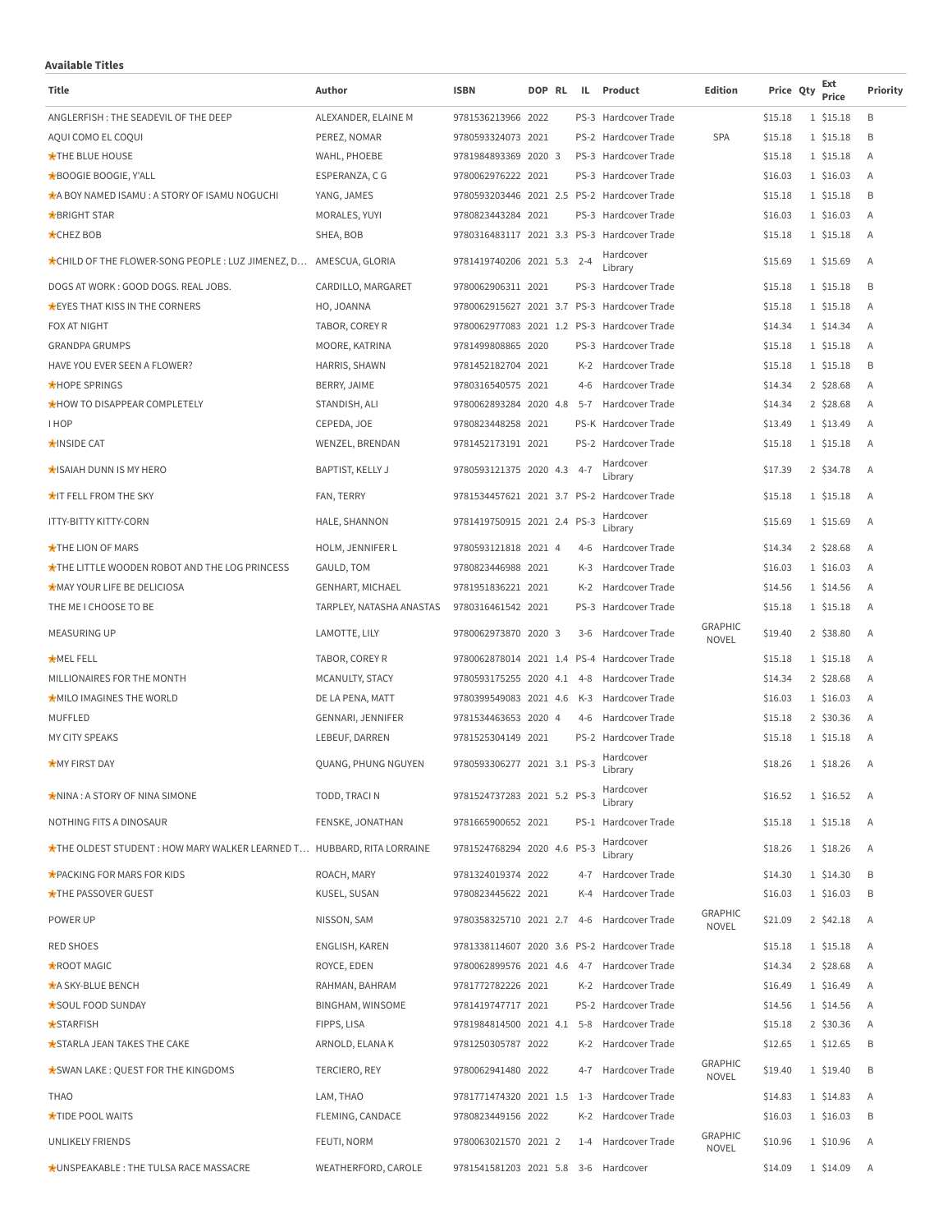## **Available Titles**

| Available Titles<br>Title                                                           | Author                        | <b>ISBN</b>                          | DOP RL | IL.     | Product                                      | <b>Edition</b>                 | Price Qty          | Ext                    | Priority |
|-------------------------------------------------------------------------------------|-------------------------------|--------------------------------------|--------|---------|----------------------------------------------|--------------------------------|--------------------|------------------------|----------|
|                                                                                     |                               |                                      |        |         |                                              |                                |                    | Price                  |          |
| ANGLERFISH: THE SEADEVIL OF THE DEEP                                                | ALEXANDER, ELAINE M           | 9781536213966 2022                   |        |         | PS-3 Hardcover Trade                         |                                | \$15.18            | 1 \$15.18              | B        |
| AQUI COMO EL COQUI                                                                  | PEREZ, NOMAR                  | 9780593324073 2021                   |        |         | PS-2 Hardcover Trade<br>PS-3 Hardcover Trade | <b>SPA</b>                     | \$15.18            | 1 \$15.18<br>1 \$15.18 | B        |
| <b>*THE BLUE HOUSE</b>                                                              | WAHL, PHOEBE                  | 9781984893369 2020 3                 |        |         | PS-3 Hardcover Trade                         |                                | \$15.18            |                        | Α<br>A   |
| <b>*BOOGIE BOOGIE, Y'ALL</b><br><b>AA BOY NAMED ISAMU: A STORY OF ISAMU NOGUCHI</b> | ESPERANZA, C G<br>YANG, JAMES | 9780062976222 2021                   |        |         | 9780593203446 2021 2.5 PS-2 Hardcover Trade  |                                | \$16.03<br>\$15.18 | 1 \$16.03<br>1 \$15.18 | B        |
| <b>*BRIGHT STAR</b>                                                                 | MORALES, YUYI                 | 9780823443284 2021                   |        |         | PS-3 Hardcover Trade                         |                                | \$16.03            | 1 \$16.03              | A        |
| <b>CHEZ BOB</b>                                                                     | SHEA, BOB                     |                                      |        |         | 9780316483117 2021 3.3 PS-3 Hardcover Trade  |                                | \$15.18            | 1 \$15.18              | A        |
| *CHILD OF THE FLOWER-SONG PEOPLE : LUZ JIMENEZ, D AMESCUA, GLORIA                   |                               | 9781419740206 2021 5.3 2-4           |        |         | Hardcover<br>Library                         |                                | \$15.69            | 1 \$15.69              | Α        |
| DOGS AT WORK: GOOD DOGS. REAL JOBS.                                                 | CARDILLO, MARGARET            | 9780062906311 2021                   |        |         | PS-3 Hardcover Trade                         |                                | \$15.18            | 1 \$15.18              | B        |
| <b>*EYES THAT KISS IN THE CORNERS</b>                                               | HO, JOANNA                    |                                      |        |         | 9780062915627 2021 3.7 PS-3 Hardcover Trade  |                                | \$15.18            | 1 \$15.18              | A        |
| FOX AT NIGHT                                                                        | TABOR, COREY R                |                                      |        |         | 9780062977083 2021 1.2 PS-3 Hardcover Trade  |                                | \$14.34            | 1 \$14.34              | Α        |
| <b>GRANDPA GRUMPS</b>                                                               | MOORE, KATRINA                | 9781499808865 2020                   |        |         | PS-3 Hardcover Trade                         |                                | \$15.18            | 1 \$15.18              | A        |
| HAVE YOU EVER SEEN A FLOWER?                                                        | HARRIS, SHAWN                 | 9781452182704 2021                   |        | K-2     | Hardcover Trade                              |                                | \$15.18            | 1 \$15.18              | B        |
| <b>*HOPE SPRINGS</b>                                                                | BERRY, JAIME                  | 9780316540575 2021                   |        | $4-6$   | Hardcover Trade                              |                                | \$14.34            | 2 \$28.68              | A        |
| <b>*HOW TO DISAPPEAR COMPLETELY</b>                                                 | STANDISH, ALI                 | 9780062893284 2020 4.8               |        |         | 5-7 Hardcover Trade                          |                                | \$14.34            | 2 \$28.68              | A        |
| <b>IHOP</b>                                                                         | CEPEDA, JOE                   | 9780823448258 2021                   |        |         | PS-K Hardcover Trade                         |                                | \$13.49            | 1 \$13.49              | Α        |
| <b>*INSIDE CAT</b>                                                                  | WENZEL, BRENDAN               | 9781452173191 2021                   |        |         | PS-2 Hardcover Trade                         |                                | \$15.18            | 1 \$15.18              | A        |
| <b>*ISAIAH DUNN IS MY HERO</b>                                                      | <b>BAPTIST, KELLY J</b>       | 9780593121375 2020 4.3 4-7           |        |         | Hardcover<br>Library                         |                                | \$17.39            | 2 \$34.78              | A        |
| <b>★IT FELL FROM THE SKY</b>                                                        | FAN, TERRY                    |                                      |        |         | 9781534457621 2021 3.7 PS-2 Hardcover Trade  |                                | \$15.18            | 1 \$15.18              | Α        |
| <b>ITTY-BITTY KITTY-CORN</b>                                                        | HALE, SHANNON                 | 9781419750915 2021 2.4 PS-3          |        |         | Hardcover<br>Library                         |                                | \$15.69            | 1 \$15.69              | A        |
| <b>*THE LION OF MARS</b>                                                            | HOLM, JENNIFER L              | 9780593121818 2021 4                 |        | 4-6     | Hardcover Trade                              |                                | \$14.34            | 2 \$28.68              | A        |
| <b>*THE LITTLE WOODEN ROBOT AND THE LOG PRINCESS</b>                                | GAULD, TOM                    | 9780823446988 2021                   |        | K-3     | Hardcover Trade                              |                                | \$16.03            | 1 \$16.03              | A        |
| <b>*MAY YOUR LIFE BE DELICIOSA</b>                                                  | <b>GENHART, MICHAEL</b>       | 9781951836221 2021                   |        | K-2     | Hardcover Trade                              |                                | \$14.56            | 1 \$14.56              | Α        |
| THE ME I CHOOSE TO BE                                                               | TARPLEY, NATASHA ANASTAS      | 9780316461542 2021                   |        |         | PS-3 Hardcover Trade                         |                                | \$15.18            | 1 \$15.18              | A        |
| <b>MEASURING UP</b>                                                                 | LAMOTTE, LILY                 | 9780062973870 2020 3                 |        | $3-6$   | Hardcover Trade                              | <b>GRAPHIC</b><br><b>NOVEL</b> | \$19.40            | 2 \$38.80              | A        |
| <b>*MELFELL</b>                                                                     | TABOR, COREY R                |                                      |        |         | 9780062878014 2021 1.4 PS-4 Hardcover Trade  |                                | \$15.18            | 1 \$15.18              | Α        |
| MILLIONAIRES FOR THE MONTH                                                          | MCANULTY, STACY               | 9780593175255 2020 4.1 4-8           |        |         | Hardcover Trade                              |                                | \$14.34            | 2 \$28.68              | Α        |
| <b>MILO IMAGINES THE WORLD</b>                                                      | DE LA PENA, MATT              | 9780399549083 2021 4.6               |        |         | K-3 Hardcover Trade                          |                                | \$16.03            | 1 \$16.03              | A        |
| MUFFLED                                                                             | GENNARI, JENNIFER             | 9781534463653 2020 4                 |        | 4-6     | Hardcover Trade                              |                                | \$15.18            | 2 \$30.36              | A        |
| <b>MY CITY SPEAKS</b>                                                               | LEBEUF, DARREN                | 9781525304149 2021                   |        |         | PS-2 Hardcover Trade                         |                                | \$15.18            | 1 \$15.18              | A        |
| <b>*MY FIRST DAY</b>                                                                | QUANG, PHUNG NGUYEN           | 9780593306277 2021 3.1 PS-3          |        |         | Hardcover<br>Library                         |                                | \$18.26            | 1 \$18.26              |          |
| <b>*NINA: A STORY OF NINA SIMONE</b>                                                | TODD, TRACI N                 | 9781524737283 2021 5.2 PS-3          |        |         | Hardcover<br>Library                         |                                | \$16.52            | 1 \$16.52              | А        |
| NOTHING FITS A DINOSAUR                                                             | FENSKE, JONATHAN              | 9781665900652 2021                   |        |         | PS-1 Hardcover Trade                         |                                | \$15.18            | 1 \$15.18              | Α        |
| *THE OLDEST STUDENT : HOW MARY WALKER LEARNED T HUBBARD, RITA LORRAINE              |                               | 9781524768294 2020 4.6 PS-3          |        |         | Hardcover<br>Library                         |                                | \$18.26            | 1 \$18.26              | Α        |
| <b>*PACKING FOR MARS FOR KIDS</b>                                                   | ROACH, MARY                   | 9781324019374 2022                   |        | 4-7     | Hardcover Trade                              |                                | \$14.30            | 1 \$14.30              | B        |
| <b>*THE PASSOVER GUEST</b>                                                          | KUSEL, SUSAN                  | 9780823445622 2021                   |        | K-4     | Hardcover Trade                              |                                | \$16.03            | 1 \$16.03              | B        |
| POWER UP                                                                            | NISSON, SAM                   | 9780358325710 2021 2.7 4-6           |        |         | Hardcover Trade                              | <b>GRAPHIC</b><br><b>NOVEL</b> | \$21.09            | 2 \$42.18              | А        |
| <b>RED SHOES</b>                                                                    | ENGLISH, KAREN                |                                      |        |         | 9781338114607 2020 3.6 PS-2 Hardcover Trade  |                                | \$15.18            | 1 \$15.18              | Α        |
| <b>ROOT MAGIC</b>                                                                   | ROYCE, EDEN                   |                                      |        |         | 9780062899576 2021 4.6 4-7 Hardcover Trade   |                                | \$14.34            | 2 \$28.68              | Α        |
| <b>*A SKY-BLUE BENCH</b>                                                            | RAHMAN, BAHRAM                | 9781772782226 2021                   |        |         | K-2 Hardcover Trade                          |                                | \$16.49            | 1 \$16.49              | Α        |
| *SOUL FOOD SUNDAY                                                                   | <b>BINGHAM, WINSOME</b>       | 9781419747717 2021                   |        |         | PS-2 Hardcover Trade                         |                                | \$14.56            | 1 \$14.56              | Α        |
| <b>*STARFISH</b>                                                                    | FIPPS, LISA                   | 9781984814500 2021 4.1               |        | $5 - 8$ | Hardcover Trade                              |                                | \$15.18            | 2 \$30.36              | Α        |
| <b>*STARLA JEAN TAKES THE CAKE</b>                                                  | ARNOLD, ELANA K               | 9781250305787 2022                   |        | K-2     | Hardcover Trade                              |                                | \$12.65            | 1 \$12.65              | B        |
| *SWAN LAKE: QUEST FOR THE KINGDOMS                                                  | TERCIERO, REY                 | 9780062941480 2022                   |        | $4 - 7$ | Hardcover Trade                              | <b>GRAPHIC</b><br><b>NOVEL</b> | \$19.40            | 1 \$19.40              | B        |
| <b>THAO</b>                                                                         | LAM, THAO                     | 9781771474320 2021 1.5               |        | $1 - 3$ | Hardcover Trade                              |                                | \$14.83            | 1 \$14.83              | Α        |
| <b>*TIDE POOL WAITS</b>                                                             | FLEMING, CANDACE              | 9780823449156 2022                   |        | K-2     | Hardcover Trade                              |                                | \$16.03            | 1 \$16.03              | B        |
| <b>UNLIKELY FRIENDS</b>                                                             | FEUTI, NORM                   | 9780063021570 2021 2                 |        | $1 - 4$ | Hardcover Trade                              | <b>GRAPHIC</b><br><b>NOVEL</b> | \$10.96            | 1 \$10.96              | Α        |
| <b>*UNSPEAKABLE: THE TULSA RACE MASSACRE</b>                                        | WEATHERFORD, CAROLE           | 9781541581203 2021 5.8 3-6 Hardcover |        |         |                                              |                                | \$14.09            | 1 \$14.09              | Α        |